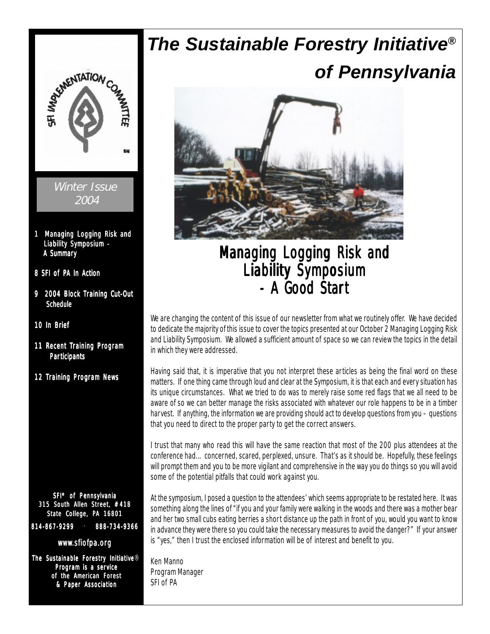

# *The Sustainable Forestry Initiative® of Pennsylvania*



## Managing Logging Risk and Liability Symposium  $-$  A Good Start

We are changing the content of this issue of our newsletter from what we routinely offer. We have decided to dedicate the majority of this issue to cover the topics presented at our October 2 Managing Logging Risk and Liability Symposium. We allowed a sufficient amount of space so we can review the topics in the detail in which they were addressed.

Having said that, it is imperative that you not interpret these articles as being the final word on these matters. If one thing came through loud and clear at the Symposium, it is that each and every situation has its unique circumstances. What we tried to do was to merely raise some red flags that we all need to be aware of so we can better manage the risks associated with whatever our role happens to be in a timber harvest. If anything, the information we are providing should act to develop questions from you – questions that you need to direct to the proper party to get the correct answers.

I trust that many who read this will have the same reaction that most of the 200 plus attendees at the conference had…concerned, scared, perplexed, unsure. That's as it should be. Hopefully, these feelings will prompt them and you to be more vigilant and comprehensive in the way you do things so you will avoid some of the potential pitfalls that could work against you.

At the symposium, I posed a question to the attendees' which seems appropriate to be restated here. It was something along the lines of "if you and your family were walking in the woods and there was a mother bear and her two small cubs eating berries a short distance up the path in front of you, would you want to know in advance they were there so you could take the necessary measures to avoid the danger?" If your answer is "yes," then I trust the enclosed information will be of interest and benefit to you.

Ken Manno Program Manager SFI of PA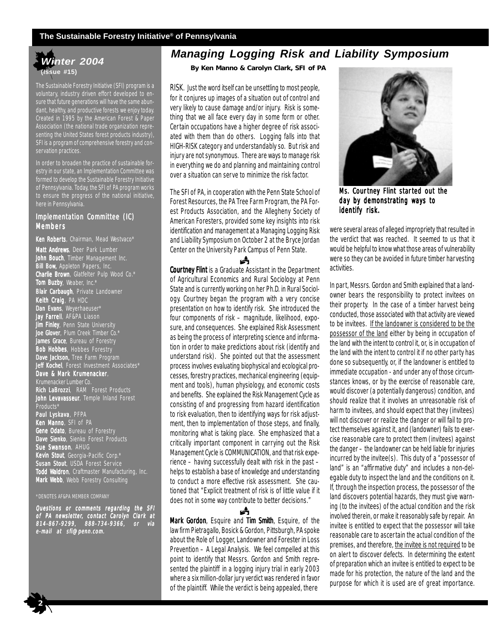#### **The Sustainable Forestry Initiative® of Pennsylvania**



The Sustainable Forestry Initiative (SFI) program is a voluntary, industry driven effort developed to ensure that future generations will have the same abundant, healthy, and productive forests we enjoy today. Created in 1995 by the American Forest & Paper Association (the national trade organization representing the United States forest products industry), SFI is a program of comprehensive forestry and conservation practices.

In order to broaden the practice of sustainable forestry in our state, an Implementation Committee was formed to develop the Sustainable Forestry Initiative of Pennsylvania. Today, the SFI of PA program works to ensure the progress of the national initiative, here in Pennsylvania.

#### Implementation Committee (IC) Members

Ken Roberts, Chairman, Mead Westvaco\* Matt Andrews, Deer Park Lumber John Bouch, Timber Management Inc. **Bill Bow,** Appleton Papers, Inc. Charlie Brown, Glatfelter Pulp Wood Co.\* **Tom Buzby**, Weaber, Inc.\* Blair Carbaugh, Private Landowner Keith Craig, PA HDC Dan Evans, Weyerhaeuser\* **Jay Farrell**, AF&PA Liason **Jim Finley**, Penn State University **Joe Glover**, Plum Creek Timber Co.\* **James Grace**, Bureau of Forestry Bob Hobbes, Hobbes Forestry Dave Jackson, Tree Farm Program Jeff Kochel, Forest Investment Associates\* Dave & Mark Krumenacker, Krumenacker Lumber Co. Rich LaBrozzi, RAM Forest Products John Levavasseur, Temple Inland Forest Products<sup>\*</sup> **Paul Lyskava**, PFPA **Ken Manno**, SFI of PA **Gene Odato**, Bureau of Forestry **Dave Sienko**, Sienko Forest Products Sue Swanson, AHUG **Kevin Stout**, Georgia-Pacific Corp.\* **Susan Stout**, USDA Forest Service Todd Waldron, Craftmaster Manufacturing, Inc. Mark Webb, Webb Forestry Consulting

#### \*DENOTES AF&PA MEMBER COMPANY

Questions or comments regarding the SFI of PA newsletter, contact Carolyn Clark at 814-867-9299, 888-734-9366, or via e-mail at sfi@penn.com.

## *Managing Logging Risk and Liability Symposium*

**By Ken Manno & Carolyn Clark, SFI of PA**

RISK. Just the word itself can be unsettling to most people, for it conjures up images of a situation out of control and very likely to cause damage and/or injury. Risk is something that we all face every day in some form or other. Certain occupations have a higher degree of risk associated with them than do others. Logging falls into that HIGH-RISK category and understandably so. But risk and injury are not synonymous. There are ways to manage risk in everything we do and planning and maintaining control over a situation can serve to minimize the risk factor.

The SFI of PA, in cooperation with the Penn State School of Forest Resources, the PA Tree Farm Program, the PA Forest Products Association, and the Allegheny Society of American Foresters, provided some key insights into risk identification and management at a Managing Logging Risk and Liability Symposium on October 2 at the Bryce Jordan Center on the University Park Campus of Penn State.

Й Courtney Flint is a Graduate Assistant in the Department of Agricultural Economics and Rural Sociology at Penn State and is currently working on her Ph.D. in Rural Sociology. Courtney began the program with a very concise presentation on how to identify risk. She introduced the four components of risk – magnitude, likelihood, exposure, and consequences. She explained Risk Assessment as being the process of interpreting science and information in order to make predictions about risk (identify and understand risk). She pointed out that the assessment process involves evaluating biophysical and ecological processes, forestry practices, mechanical engineering (equipment and tools), human physiology, and economic costs and benefits. She explained the Risk Management Cycle as consisting of and progressing from hazard identification to risk evaluation, then to identifying ways for risk adjustment, then to implementation of those steps, and finally, monitoring what is taking place. She emphasized that a critically important component in carrying out the Risk Management Cycle is COMMUNICATION, and that risk experience – having successfully dealt with risk in the past – helps to establish a base of knowledge and understanding to conduct a more effective risk assessment. She cautioned that "Explicit treatment of risk is of little value if it does not in some way contribute to better decisions."

Mark Gordon, Esquire and Tim Smith, Esquire, of the law firm Pietragallo, Bosick & Gordon, Pittsburgh, PA spoke about the Role of Logger, Landowner and Forester in Loss Prevention – A Legal Analysis. We feel compelled at this point to identify that Messrs. Gordon and Smith represented the plaintiff in a logging injury trial in early 2003 where a six million-dollar jury verdict was rendered in favor of the plaintiff. While the verdict is being appealed, there

Å



Ms. Courtney Flint started out the day by demonstrating ways to identify risk.

were several areas of alleged impropriety that resulted in the verdict that was reached. It seemed to us that it would be helpful to know what those areas of vulnerability were so they can be avoided in future timber harvesting activities.

In part, Messrs. Gordon and Smith explained that a landowner bears the responsibility to protect invitees on their property. In the case of a timber harvest being conducted, those associated with that activity are viewed to be invitees. If the landowner is considered to be the possessor of the land either by being in occupation of the land with the intent to control it, or, is in occupation of the land with the intent to control it if no other party has done so subsequently, or, if the landowner is entitled to immediate occupation - and under any of those circumstances knows, or by the exercise of reasonable care, would discover (a potentially dangerous) condition, and should realize that it involves an unreasonable risk of harm to invitees, and should expect that they (invitees) will not discover or realize the danger or will fail to protect themselves against it, and (landowner) fails to exercise reasonable care to protect them (invitees) against the danger – the landowner can be held liable for injuries incurred by the invitee(s). This duty of a "possessor of land" is an "affirmative duty" and includes a non-delegable duty to inspect the land and the conditions on it. If, through the inspection process, the possessor of the land discovers potential hazards, they must give warning (to the invitees) of the actual condition and the risk involved therein, or make it reasonably safe by repair. An invitee is entitled to expect that the possessor will take reasonable care to ascertain the actual condition of the premises, and therefore, the invitee is not required to be on alert to discover defects. In determining the extent of preparation which an invitee is entitled to expect to be made for his protection, the nature of the land and the purpose for which it is used are of great importance.

 $\frac{1}{2}$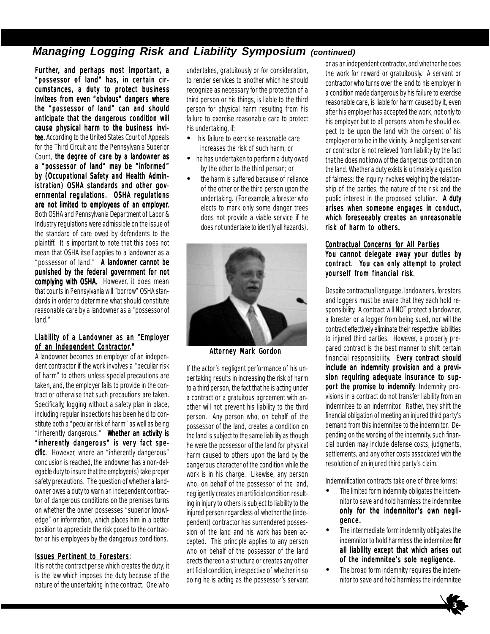## *Managing Logging Risk and Liability Symposium (continued)*

Further, and perhaps most important, a "possessor of land" has, in certain circumstances, a duty to protect business invitees from even "obvious" dangers where the "possessor of land" can and should anticipate that the dangerous condition will cause physical harm to the business invitee. According to the United States Court of Appeals for the Third Circuit and the Pennsylvania Superior Court, the degree of care by a landowner as a "possessor of land" may be "informed" by (Occupational Safety and Health Administration) OSHA standards and other governmental regulations. OSHA regulations are not limited to employees of an employer. Both OSHA and Pennsylvania Department of Labor & Industry regulations were admissible on the issue of the standard of care owed by defendants to the plaintiff. It is important to note that this does not mean that OSHA itself applies to a landowner as a "possessor of land." A landowner cannot be punished by the federal government for not complying with OSHA. However, it does mean that courts in Pennsylvania will "borrow" OSHA standards in order to determine what should constitute reasonable care by a landowner as a "possessor of land."

#### Liability of a Landowner as an "Employer of an Independent Contractor."

A landowner becomes an employer of an independent contractor if the work involves a "peculiar risk of harm" to others unless special precautions are taken, and, the employer fails to provide in the contract or otherwise that such precautions are taken. Specifically, logging without a safety plan in place, including regular inspections has been held to constitute both a "peculiar risk of harm" as well as being "inherently dangerous." Whether an activity is "inherently dangerous" is very fact specific. However, where an "inherently dangerous" conclusion is reached, the landowner has a non-delegable duty to insure that the employee(s) take proper safety precautions. The question of whether a landowner owes a duty to warn an independent contractor of dangerous conditions on the premises turns on whether the owner possesses "superior knowledge" or information, which places him in a better position to appreciate the risk posed to the contractor or his employees by the dangerous conditions.

#### Issues Per tinent to Foresters:

It is not the contract per se which creates the duty; it is the law which imposes the duty because of the nature of the undertaking in the contract. One who

undertakes, gratuitously or for consideration, to render services to another which he should recognize as necessary for the protection of a third person or his things, is liable to the third person for physical harm resulting from his failure to exercise reasonable care to protect his undertaking, if:

- his failure to exercise reasonable care increases the risk of such harm, or
- he has undertaken to perform a duty owed by the other to the third person; or
- the harm is suffered because of reliance of the other or the third person upon the undertaking. (For example, a forester who elects to mark only some danger trees does not provide a viable service if he does not undertake to identify all hazards).



Attorney Mark Gordon

If the actor's negligent performance of his undertaking results in increasing the risk of harm to a third person, the fact that he is acting under a contract or a gratuitous agreement with another will not prevent his liability to the third person. Any person who, on behalf of the possessor of the land, creates a condition on the land is subject to the same liability as though he were the possessor of the land for physical harm caused to others upon the land by the dangerous character of the condition while the work is in his charge. Likewise, any person who, on behalf of the possessor of the land, negligently creates an artificial condition resulting in injury to others is subject to liability to the injured person regardless of whether the (independent) contractor has surrendered possession of the land and his work has been accepted. This principle applies to any person who on behalf of the possessor of the land erects thereon a structure or creates any other artificial condition, irrespective of whether in so doing he is acting as the possessor's servant

or as an independent contractor, and whether he does the work for reward or gratuitously. A servant or contractor who turns over the land to his employer in a condition made dangerous by his failure to exercise reasonable care, is liable for harm caused by it, even after his employer has accepted the work, not only to his employer but to all persons whom he should expect to be upon the land with the consent of his employer or to be in the vicinity. A negligent servant or contractor is not relieved from liability by the fact that he does not know of the dangerous condition on the land. Whether a duty exists is ultimately a question of fairness: the inquiry involves weighing the relationship of the parties, the nature of the risk and the public interest in the proposed solution. A duty arises when someone engages in conduct, which foreseeably creates an unreasonable risk of harm to others.

#### Contractual Concerns for All Parties

You cannot delegate away your duties by contract. You can only attempt to protect yourself from financial risk.

Despite contractual language, landowners, foresters and loggers must be aware that they each hold responsibility. A contract will NOT protect a landowner, a forester or a logger from being sued, nor will the contract effectively eliminate their respective liabilities to injured third parties. However, a properly prepared contract is the best manner to shift certain financial responsibility. Every contract should include an indemnity provision and a provision requiring adequate insurance to support the promise to indemnify. Indemnity provisions in a contract do not transfer liability from an indemnitee to an indemnitor. Rather, they shift the financial obligation of meeting an injured third party's demand from this indemnitee to the indemnitor. Depending on the wording of the indemnity, such financial burden may include defense costs, judgments, settlements, and any other costs associated with the resolution of an injured third party's claim.

Indemnification contracts take one of three forms:

- The limited form indemnity obligates the indemnitor to save and hold harmless the indemnitee only for the indemnitor's own negligence.
- The intermediate form indemnity obligates the indemnitor to hold harmless the indemnitee for all liability except that which arises out of the indemnitee's sole negligence.
- The broad form indemnity requires the indemnitor to save and hold harmless the indemnitee

![](_page_2_Picture_21.jpeg)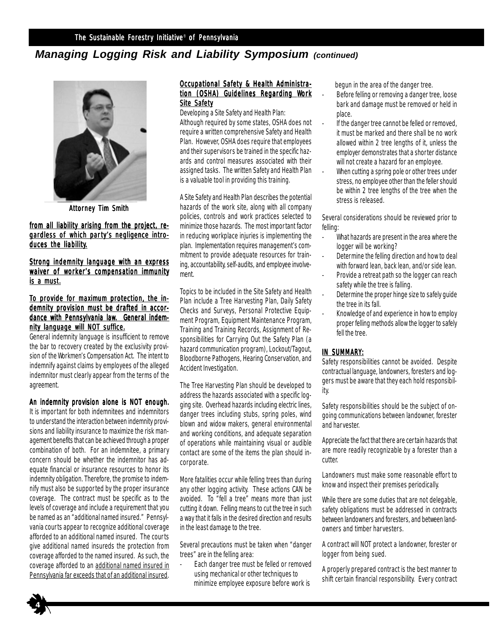## *Managing Logging Risk and Liability Symposium (continued)*

![](_page_3_Picture_2.jpeg)

**Attorney Tim Smith** 

from all liability arising from the project, regardless of which party's negligence introduces the liability.

Strong indemnity language with an express waiver of worker's compensation immunity is a must.

#### To provide for maximum protection, the indemnity provision must be drafted in accordance with Pennsylvania law. General indemnity language will NOT suffice.

General indemnity language is insufficient to remove the bar to recovery created by the exclusivity provision of the Workmen's Compensation Act. The intent to indemnify against claims by employees of the alleged indemnitor must clearly appear from the terms of the agreement.

#### An indemnity provision alone is NOT enough.

It is important for both indemnitees and indemnitors to understand the interaction between indemnity provisions and liability insurance to maximize the risk management benefits that can be achieved through a proper combination of both. For an indemnitee, a primary concern should be whether the indemnitor has adequate financial or insurance resources to honor its indemnity obligation. Therefore, the promise to indemnify must also be supported by the proper insurance coverage. The contract must be specific as to the levels of coverage and include a requirement that you be named as an "additional named insured." Pennsylvania courts appear to recognize additional coverage afforded to an additional named insured. The courts give additional named insureds the protection from coverage afforded to the named insured. As such, the coverage afforded to an additional named insured in Pennsylvania far exceeds that of an additional insured.

#### Occupational Safety & Health Administration (OSHA) Guidelines Regarding Work Site Safety

Developing a Site Safety and Health Plan: Although required by some states, OSHA does not require a written comprehensive Safety and Health Plan. However, OSHA does require that employees and their supervisors be trained in the specific hazards and control measures associated with their assigned tasks. The written Safety and Health Plan is a valuable tool in providing this training.

A Site Safety and Health Plan describes the potential hazards of the work site, along with all company policies, controls and work practices selected to minimize those hazards. The most important factor in reducing workplace injuries is implementing the plan. Implementation requires management's commitment to provide adequate resources for training, accountability, self-audits, and employee involvement.

Topics to be included in the Site Safety and Health Plan include a Tree Harvesting Plan, Daily Safety Checks and Surveys, Personal Protective Equipment Program, Equipment Maintenance Program, Training and Training Records, Assignment of Responsibilities for Carrying Out the Safety Plan (a hazard communication program), Lockout/Tagout, Bloodborne Pathogens, Hearing Conservation, and Accident Investigation.

The Tree Harvesting Plan should be developed to address the hazards associated with a specific logging site. Overhead hazards including electric lines, danger trees including stubs, spring poles, wind blown and widow makers, general environmental and working conditions, and adequate separation of operations while maintaining visual or audible contact are some of the items the plan should incorporate.

More fatalities occur while felling trees than during any other logging activity. These actions CAN be avoided. To "fell a tree" means more than just cutting it down. Felling means to cut the tree in such a way that it falls in the desired direction and results in the least damage to the tree.

Several precautions must be taken when "danger trees" are in the felling area:

Each danger tree must be felled or removed using mechanical or other techniques to minimize employee exposure before work is

begun in the area of the danger tree.

- Before felling or removing a danger tree, loose bark and damage must be removed or held in place.
- If the danger tree cannot be felled or removed, it must be marked and there shall be no work allowed within 2 tree lengths of it, unless the employer demonstrates that a shorter distance will not create a hazard for an employee.
- When cutting a spring pole or other trees under stress, no employee other than the feller should be within 2 tree lengths of the tree when the stress is released.

Several considerations should be reviewed prior to felling:

- What hazards are present in the area where the logger will be working?
- Determine the felling direction and how to deal with forward lean, back lean, and/or side lean.
- Provide a retreat path so the logger can reach safety while the tree is falling.
- Determine the proper hinge size to safely quide the tree in its fall.
- Knowledge of and experience in how to employ proper felling methods allow the logger to safely fell the tree.

#### IN SUMMARY:

Safety responsibilities cannot be avoided. Despite contractual language, landowners, foresters and loggers must be aware that they each hold responsibility.

Safety responsibilities should be the subject of ongoing communications between landowner, forester and harvester.

Appreciate the fact that there are certain hazards that are more readily recognizable by a forester than a cutter.

Landowners must make some reasonable effort to know and inspect their premises periodically.

While there are some duties that are not delegable, safety obligations must be addressed in contracts between landowners and foresters, and between landowners and timber harvesters.

A contract will NOT protect a landowner, forester or logger from being sued.

A properly prepared contract is the best manner to shift certain financial responsibility. Every contract

![](_page_3_Picture_36.jpeg)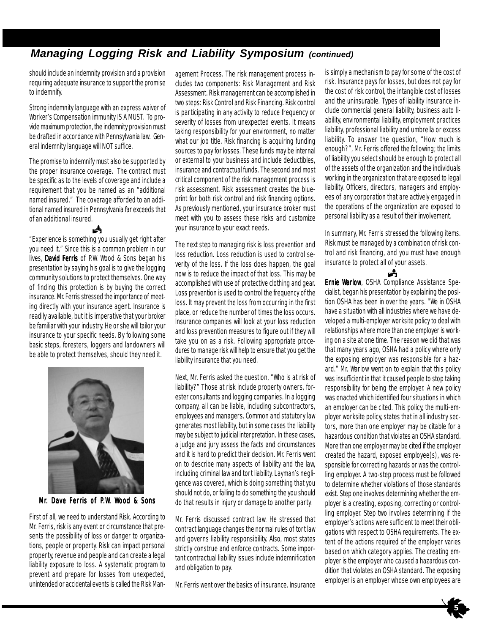## *Managing Logging Risk and Liability Symposium (continued)*

should include an indemnity provision and a provision requiring adequate insurance to support the promise to indemnify.

Strong indemnity language with an express waiver of Worker's Compensation immunity IS A MUST. To provide maximum protection, the indemnity provision must be drafted in accordance with Pennsylvania law. General indemnity language will NOT suffice.

The promise to indemnify must also be supported by the proper insurance coverage. The contract must be specific as to the levels of coverage and include a requirement that you be named as an "additional named insured." The coverage afforded to an additional named insured in Pennsylvania far exceeds that of an additional insured.

å "Experience is something you usually get right after you need it." Since this is a common problem in our lives, David Ferris of P.W. Wood & Sons began his presentation by saying his goal is to give the logging community solutions to protect themselves. One way of finding this protection is by buying the correct insurance. Mr. Ferris stressed the importance of meeting directly with your insurance agent. Insurance is readily available, but it is imperative that your broker be familiar with your industry. He or she will tailor your insurance to your specific needs. By following some basic steps, foresters, loggers and landowners will be able to protect themselves, should they need it.

![](_page_4_Picture_5.jpeg)

Mr. Dave Ferris of P.W. Wood & Sons

First of all, we need to understand Risk. According to Mr. Ferris, risk is any event or circumstance that presents the possibility of loss or danger to organizations, people or property. Risk can impact personal property, revenue and people and can create a legal liability exposure to loss. A systematic program to prevent and prepare for losses from unexpected, unintended or accidental events is called the Risk Man-

agement Process. The risk management process includes two components: Risk Management and Risk Assessment. Risk management can be accomplished in two steps: Risk Control and Risk Financing. Risk control is participating in any activity to reduce frequency or severity of losses from unexpected events. It means taking responsibility for your environment, no matter what our job title. Risk financing is acquiring funding sources to pay for losses. These funds may be internal or external to your business and include deductibles, insurance and contractual funds. The second and most critical component of the risk management process is risk assessment. Risk assessment creates the blueprint for both risk control and risk financing options. As previously mentioned, your insurance broker must meet with you to assess these risks and customize your insurance to your exact needs.

The next step to managing risk is loss prevention and loss reduction. Loss reduction is used to control severity of the loss. If the loss does happen, the goal now is to reduce the impact of that loss. This may be accomplished with use of protective clothing and gear. Loss prevention is used to control the frequency of the loss. It may prevent the loss from occurring in the first place, or reduce the number of times the loss occurs. Insurance companies will look at your loss reduction and loss prevention measures to figure out if they will take you on as a risk. Following appropriate procedures to manage risk will help to ensure that you get the liability insurance that you need.

Next, Mr. Ferris asked the question, "Who is at risk of liability?" Those at risk include property owners, forester consultants and logging companies. In a logging company, all can be liable, including subcontractors, employees and managers. Common and statutory law generates most liability, but in some cases the liability may be subject to judicial interpretation. In these cases, a judge and jury assess the facts and circumstances and it is hard to predict their decision. Mr. Ferris went on to describe many aspects of liability and the law, including criminal law and tort liability. Layman's negligence was covered, which is doing something that you should not do, or failing to do something the you should do that results in injury or damage to another party.

Mr. Ferris discussed contract law. He stressed that contract language changes the normal rules of tort law and governs liability responsibility. Also, most states strictly construe and enforce contracts. Some important contractual liability issues include indemnification and obligation to pay.

Mr. Ferris went over the basics of insurance. Insurance

is simply a mechanism to pay for some of the cost of risk. Insurance pays for losses, but does not pay for the cost of risk control, the intangible cost of losses and the uninsurable. Types of liability insurance include commercial general liability, business auto liability, environmental liability, employment practices liability, professional liability and umbrella or excess liability. To answer the question, "How much is enough?", Mr. Ferris offered the following; the limits of liability you select should be enough to protect all of the assets of the organization and the individuals working in the organization that are exposed to legal liability. Officers, directors, managers and employees of any corporation that are actively engaged in the operations of the organization are exposed to personal liability as a result of their involvement.

In summary, Mr. Ferris stressed the following items. Risk must be managed by a combination of risk control and risk financing, and you must have enough insurance to protect all of your assets.

歭 Ernie Warlow, OSHA Compliance Assistance Specialist, began his presentation by explaining the position OSHA has been in over the years. "We in OSHA have a situation with all industries where we have developed a multi-employer worksite policy to deal with relationships where more than one employer is working on a site at one time. The reason we did that was that many years ago, OSHA had a policy where only the exposing employer was responsible for a hazard." Mr. Warlow went on to explain that this policy was insufficient in that it caused people to stop taking responsibility for being the employer. A new policy was enacted which identified four situations in which an employer can be cited. This policy, the multi-employer worksite policy, states that in all industry sectors, more than one employer may be citable for a hazardous condition that violates an OSHA standard. More than one employer may be cited if the employer created the hazard, exposed employee(s), was responsible for correcting hazards or was the controlling employer. A two-step process must be followed to determine whether violations of those standards exist. Step one involves determining whether the employer is a creating, exposing, correcting or controlling employer. Step two involves determining if the employer's actions were sufficient to meet their obligations with respect to OSHA requirements. The extent of the actions required of the employer varies based on which category applies. The creating employer is the employer who caused a hazardous condition that violates an OSHA standard. The exposing employer is an employer whose own employees are

![](_page_4_Picture_16.jpeg)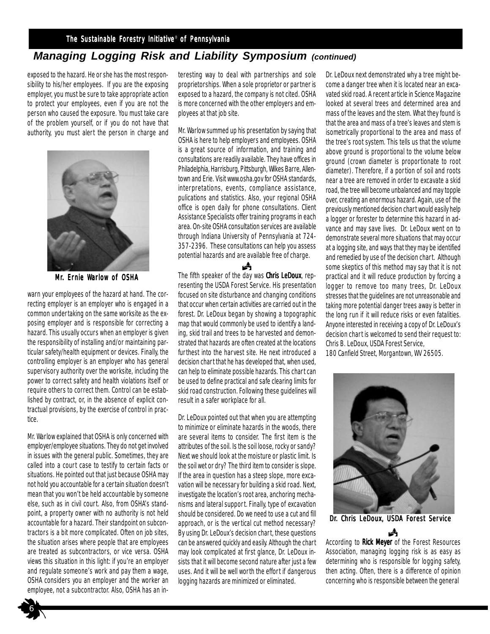#### The Sustainable Forestry Initiative® of Pennsylvania

## *Managing Logging Risk and Liability Symposium (continued)*

exposed to the hazard. He or she has the most responsibility to his/her employees. If you are the exposing employer, you must be sure to take appropriate action to protect your employees, even if you are not the person who caused the exposure. You must take care of the problem yourself, or if you do not have that authority, you must alert the person in charge and

![](_page_5_Picture_3.jpeg)

Mr. Ernie Warlow of OSHA

warn your employees of the hazard at hand. The correcting employer is an employer who is engaged in a common undertaking on the same worksite as the exposing employer and is responsible for correcting a hazard. This usually occurs when an employer is given the responsibility of installing and/or maintaining particular safety/health equipment or devices. Finally, the controlling employer is an employer who has general supervisory authority over the worksite, including the power to correct safety and health violations itself or require others to correct them. Control can be established by contract, or, in the absence of explicit contractual provisions, by the exercise of control in practice.

Mr. Warlow explained that OSHA is only concerned with employer/employee situations. They do not get involved in issues with the general public. Sometimes, they are called into a court case to testify to certain facts or situations. He pointed out that just because OSHA may not hold you accountable for a certain situation doesn't mean that you won't be held accountable by someone else, such as in civil court. Also, from OSHA's standpoint, a property owner with no authority is not held accountable for a hazard. Their standpoint on subcontractors is a bit more complicated. Often on job sites, the situation arises where people that are employees are treated as subcontractors, or vice versa. OSHA views this situation in this light: if you're an employer and regulate someone's work and pay them a wage, OSHA considers you an employer and the worker an employee, not a subcontractor. Also, OSHA has an interesting way to deal with partnerships and sole proprietorships. When a sole proprietor or partner is exposed to a hazard, the company is not cited. OSHA is more concerned with the other employers and employees at that job site.

Mr. Warlow summed up his presentation by saying that OSHA is here to help employers and employees. OSHA is a great source of information, and training and consultations are readily available. They have offices in Philadelphia, Harrisburg, Pittsburgh, Wilkes Barre, Allentown and Erie. Visit www.osha.gov for OSHA standards, interpretations, events, compliance assistance, pulications and statistics. Also, your regional OSHA office is open daily for phone consultations. Client Assistance Specialists offer training programs in each area. On-site OSHA consultation services are available through Indiana University of Pennsylvania at 724- 357-2396. These consultations can help you assess potential hazards and are available free of charge.

歭 The fifth speaker of the day was Chris LeDoux, representing the USDA Forest Service. His presentation focused on site disturbance and changing conditions that occur when certain activities are carried out in the forest. Dr. LeDoux began by showing a topographic map that would commonly be used to identify a landing, skid trail and trees to be harvested and demonstrated that hazards are often created at the locations furthest into the harvest site. He next introduced a decision chart that he has developed that, when used, can help to eliminate possible hazards. This chart can be used to define practical and safe clearing limits for skid road construction. Following these guidelines will result in a safer workplace for all.

Dr. LeDoux pointed out that when you are attempting to minimize or eliminate hazards in the woods, there are several items to consider. The first item is the attributes of the soil. Is the soil loose, rocky or sandy? Next we should look at the moisture or plastic limit. Is the soil wet or dry? The third item to consider is slope. If the area in question has a steep slope, more excavation will be necessary for building a skid road. Next, investigate the location's root area, anchoring mechanisms and lateral support. Finally, type of excavation should be considered. Do we need to use a cut and fill approach, or is the vertical cut method necessary? By using Dr. LeDoux's decision chart, these questions can be answered quickly and easily. Although the chart may look complicated at first glance, Dr. LeDoux insists that it will become second nature after just a few uses. And it will be well worth the effort if dangerous logging hazards are minimized or eliminated.

Dr. LeDoux next demonstrated why a tree might become a danger tree when it is located near an excavated skid road. A recent article in Science Magazine looked at several trees and determined area and mass of the leaves and the stem. What they found is that the area and mass of a tree's leaves and stem is isometrically proportional to the area and mass of the tree's root system. This tells us that the volume above ground is proportional to the volume below ground (crown diameter is proportionate to root diameter). Therefore, if a portion of soil and roots near a tree are removed in order to excavate a skid road, the tree will become unbalanced and may topple over, creating an enormous hazard. Again, use of the previously mentioned decision chart would easily help a logger or forester to determine this hazard in advance and may save lives. Dr. LeDoux went on to demonstrate several more situations that may occur at a logging site, and ways that they may be identified and remedied by use of the decision chart. Although some skeptics of this method may say that it is not practical and it will reduce production by forcing a logger to remove too many trees, Dr. LeDoux stresses that the guidelines are not unreasonable and taking more potential danger trees away is better in the long run if it will reduce risks or even fatalities. Anyone interested in receiving a copy of Dr. LeDoux's decision chart is welcomed to send their request to: Chris B. LeDoux, USDA Forest Service,

180 Canfield Street, Morgantown, WV 26505.

![](_page_5_Picture_13.jpeg)

Å Dr. Chris LeDoux, USDA Forest Service

According to Rick Meyer of the Forest Resources Association, managing logging risk is as easy as determining who is responsible for logging safety, then acting. Often, there is a difference of opinion concerning who is responsible between the general

![](_page_5_Picture_16.jpeg)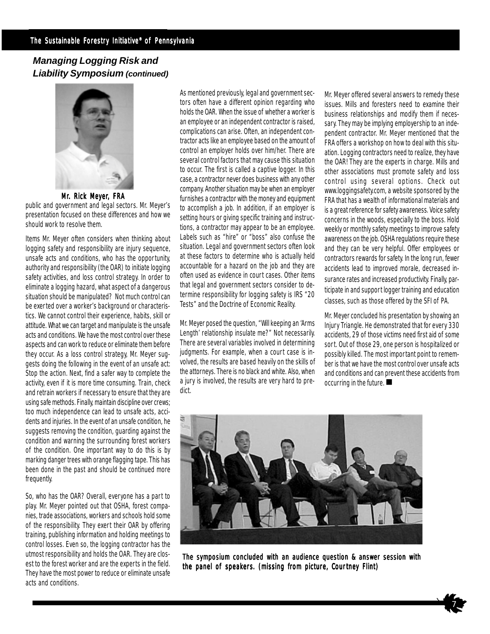### *Managing Logging Risk and Liability Symposium (continued)*

![](_page_6_Picture_2.jpeg)

Mr. Rick Meyer, FRA

public and government and legal sectors. Mr. Meyer's presentation focused on these differences and how we should work to resolve them.

Items Mr. Meyer often considers when thinking about logging safety and responsibility are injury sequence, unsafe acts and conditions, who has the opportunity, authority and responsibility (the OAR) to initiate logging safety activities, and loss control strategy. In order to eliminate a logging hazard, what aspect of a dangerous situation should be manipulated? Not much control can be exerted over a worker's background or characteristics. We cannot control their experience, habits, skill or attitude. What we can target and manipulate is the unsafe acts and conditions. We have the most control over these aspects and can work to reduce or eliminate them before they occur. As a loss control strategy, Mr. Meyer suggests doing the following in the event of an unsafe act: Stop the action. Next, find a safer way to complete the activity, even if it is more time consuming. Train, check and retrain workers if necessary to ensure that they are using safe methods. Finally, maintain discipline over crews; too much independence can lead to unsafe acts, accidents and injuries. In the event of an unsafe condition, he suggests removing the condition, guarding against the condition and warning the surrounding forest workers of the condition. One important way to do this is by marking danger trees with orange flagging tape. This has been done in the past and should be continued more frequently.

So, who has the OAR? Overall, everyone has a part to play. Mr. Meyer pointed out that OSHA, forest companies, trade associations, workers and schools hold some of the responsibility. They exert their OAR by offering training, publishing information and holding meetings to control losses. Even so, the logging contractor has the utmost responsibility and holds the OAR. They are closest to the forest worker and are the experts in the field. They have the most power to reduce or eliminate unsafe acts and conditions.

As mentioned previously, legal and government sectors often have a different opinion regarding who holds the OAR. When the issue of whether a worker is an employee or an independent contractor is raised, complications can arise. Often, an independent contractor acts like an employee based on the amount of control an employer holds over him/her. There are several control factors that may cause this situation to occur. The first is called a captive logger. In this case, a contractor never does business with any other company. Another situation may be when an employer furnishes a contractor with the money and equipment to accomplish a job. In addition, if an employer is setting hours or giving specific training and instructions, a contractor may appear to be an employee. Labels such as "hire" or "boss" also confuse the situation. Legal and government sectors often look at these factors to determine who is actually held accountable for a hazard on the job and they are often used as evidence in court cases. Other items that legal and government sectors consider to determine responsibility for logging safety is IRS "20 Tests" and the Doctrine of Economic Reality.

Mr. Meyer posed the question, "Will keeping an 'Arms Length' relationship insulate me?" Not necessarily. There are several variables involved in determining judgments. For example, when a court case is involved, the results are based heavily on the skills of the attorneys. There is no black and white. Also, when a jury is involved, the results are very hard to predict.

Mr. Meyer offered several answers to remedy these issues. Mills and foresters need to examine their business relationships and modify them if necessary. They may be implying employership to an independent contractor. Mr. Meyer mentioned that the FRA offers a workshop on how to deal with this situation. Logging contractors need to realize, they have the OAR! They are the experts in charge. Mills and other associations must promote safety and loss control using several options. Check out www.loggingsafety.com, a website sponsored by the FRA that has a wealth of informational materials and is a great reference for safety awareness. Voice safety concerns in the woods, especially to the boss. Hold weekly or monthly safety meetings to improve safety awareness on the job. OSHA regulations require these and they can be very helpful. Offer employees or contractors rewards for safety. In the long run, fewer accidents lead to improved morale, decreased insurance rates and increased productivity. Finally, participate in and support logger training and education classes, such as those offered by the SFI of PA.

**DECALLERGE CONDENSTANCE** Mr. Meyer concluded his presentation by showing an Injury Triangle. He demonstrated that for every 330 accidents, 29 of those victims need first aid of some sort. Out of those 29, one person is hospitalized or possibly killed. The most important point to remember is that we have the most control over unsafe acts and conditions and can prevent these accidents from

![](_page_6_Picture_11.jpeg)

The symposium concluded with an audience question & answer session with the panel of speakers. (missing from picture, Courtney Flint)

![](_page_6_Picture_13.jpeg)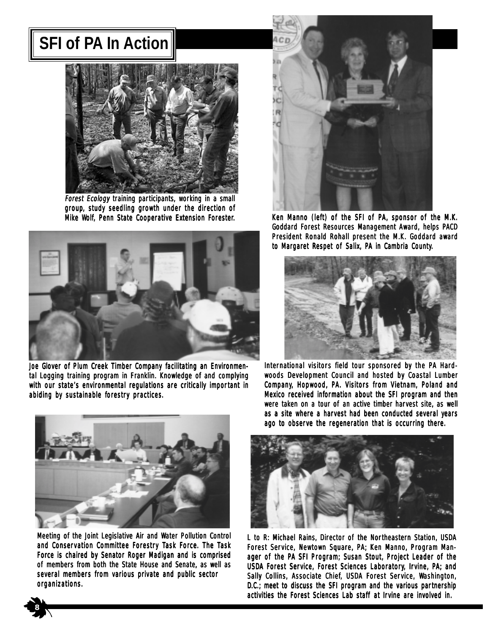## **SFI of PA In Action**

![](_page_7_Picture_1.jpeg)

Forest Ecology training participants, working in a small group, study seedling growth under the direction of Mike Wolf, Penn State Cooperative Extension Forester.

![](_page_7_Picture_3.jpeg)

Joe Glover of Plum Creek Timber Company facilitating an Environmental Logging training program in Franklin. Knowledge of and complying with our state's environmental regulations are critically important in abiding by sustainable forestry practices.

![](_page_7_Picture_5.jpeg)

Meeting of the Joint Legislative Air and Water Pollution Control and Conservation Committee Forestry Task Force. The Task Force is chaired by Senator Roger Madigan and is comprised of members from both the State House and Senate, as well as several members from various private and public sector organizations.

![](_page_7_Picture_7.jpeg)

Ken Manno (left) of the SFI of PA, sponsor of the M.K. Goddard Forest Resources Management Award, helps PACD President Ronald Rohall present the M.K. Goddard award to Margaret Respet of Salix, PA in Cambria County.

![](_page_7_Picture_9.jpeg)

International visitors field tour sponsored by the PA Hardwoods Development Council and hosted by Coastal Lumber Company, Hopwood, PA. Visitors from Vietnam, Poland and Mexico received information about the SFI program and then were taken on a tour of an active timber harvest site, as well as a site where a harvest had been conducted several years ago to observe the regeneration that is occurring there.

![](_page_7_Picture_11.jpeg)

L to R: Michael Rains, Director of the Northeastern Station, USDA Forest Service, Newtown Square, PA; Ken Manno, Program Manager of the PA SFI Program; Susan Stout, Project Leader of the USDA Forest Service, Forest Sciences Laboratory, Irvine, PA; and Sally Collins, Associate Chief, USDA Forest Service, Washington,  $D.C.:$  meet to discuss the SFI program and the various partnership activities the Forest Sciences Lab staff at Irvine are involved in.

![](_page_7_Picture_13.jpeg)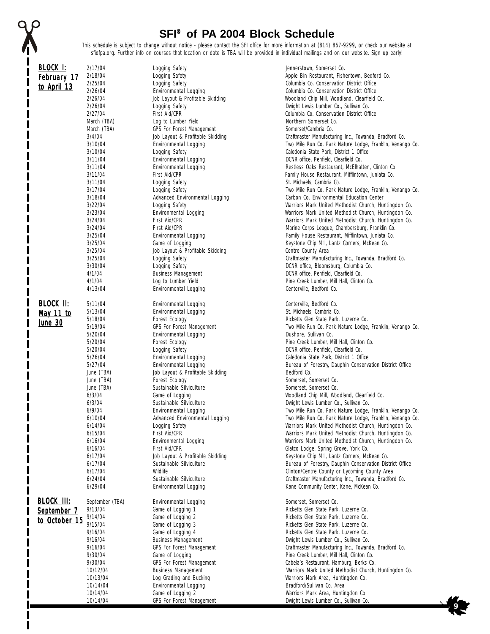## **SFI**® **of PA 2004 Block Schedule**

ı

This schedule is subject to change without notice - please contact the SFI office for more information at (814) 867-9299, or check our website at sfiofpa.org. Further info on courses that location or date is TBA will be provided in individual mailings and on our website. Sign up early!

| BLOCK I:          | 2/17/04                    | Logging Safety                                 | Jennerstown, Somerset Co.                                                                                              |
|-------------------|----------------------------|------------------------------------------------|------------------------------------------------------------------------------------------------------------------------|
| February 17       | 2/18/04                    | Logging Safety                                 | Apple Bin Restaurant, Fishertown, Bedford Co.                                                                          |
| to April 13       | 2/25/04                    | Logging Safety                                 | Columbia Co. Conservation District Office                                                                              |
|                   | 2/26/04                    | Environmental Logging                          | Columbia Co. Conservation District Office                                                                              |
|                   | 2/26/04                    | Job Layout & Profitable Skidding               | Woodland Chip Mill, Woodland, Clearfield Co.                                                                           |
|                   | 2/26/04                    | Logging Safety                                 | Dwight Lewis Lumber Co., Sullivan Co.                                                                                  |
|                   | 2/27/04                    | <b>First Aid/CPR</b>                           | Columbia Co. Conservation District Office                                                                              |
|                   | March (TBA)                | Log to Lumber Yield                            | Northern Somerset Co.                                                                                                  |
|                   | March (TBA)                | <b>GPS For Forest Management</b>               | Somerset/Cambria Co.                                                                                                   |
|                   | 3/4/04                     | Job Layout & Profitable Skidding               | Craftmaster Manufacturing Inc., Towanda, Bradford Co.                                                                  |
|                   | 3/10/04                    | Environmental Logging                          | Two Mile Run Co. Park Nature Lodge, Franklin, Venango Co.                                                              |
|                   | 3/10/04                    | Logging Safety                                 | Caledonia State Park, District 1 Office                                                                                |
|                   | 3/11/04                    | Environmental Logging                          | DCNR office, Penfield, Clearfield Co.                                                                                  |
|                   | 3/11/04<br>3/11/04         | Environmental Logging<br>First Aid/CPR         | Restless Oaks Restaurant, McElhatten, Clinton Co.<br>Family House Restaurant, Mifflintown, Juniata Co.                 |
|                   | 3/11/04                    | Logging Safety                                 | St. Michaels, Cambria Co.                                                                                              |
|                   | 3/17/04                    | Logging Safety                                 | Two Mile Run Co. Park Nature Lodge, Franklin, Venango Co.                                                              |
|                   | 3/18/04                    | Advanced Environmental Logging                 | Carbon Co. Environmental Education Center                                                                              |
|                   | 3/22/04                    | Logging Safety                                 | Warriors Mark United Methodist Church, Huntingdon Co.                                                                  |
|                   | 3/23/04                    | <b>Environmental Logging</b>                   | Warriors Mark United Methodist Church, Huntingdon Co.                                                                  |
|                   | 3/24/04                    | First Aid/CPR                                  | Warriors Mark United Methodist Church, Huntingdon Co.                                                                  |
|                   | 3/24/04                    | First Aid/CPR                                  | Marine Corps League, Chambersburg, Franklin Co.                                                                        |
|                   | 3/25/04                    | Environmental Logging                          | Family House Restaurant, Mifflintown, Juniata Co.                                                                      |
|                   | 3/25/04                    | Game of Logging                                | Keystone Chip Mill, Lantz Corners, McKean Co.                                                                          |
|                   | 3/25/04                    | Job Layout & Profitable Skidding               | Centre County Area                                                                                                     |
|                   | 3/25/04                    | Logging Safety                                 | Craftmaster Manufacturing Inc., Towanda, Bradford Co.                                                                  |
|                   | 3/30/04                    | Logging Safety                                 | DCNR office, Bloomsburg, Columbia Co.                                                                                  |
|                   | 4/1/04                     | <b>Business Management</b>                     | DCNR office, Penfield, Clearfield Co.                                                                                  |
|                   | 4/1/04                     | Log to Lumber Yield                            | Pine Creek Lumber, Mill Hall, Clinton Co.                                                                              |
|                   | 4/13/04                    | Environmental Logging                          | Centerville, Bedford Co.                                                                                               |
| <b>BLOCK II:</b>  | 5/11/04                    |                                                |                                                                                                                        |
|                   | 5/13/04                    | Environmental Logging<br>Environmental Logging | Centerville, Bedford Co.<br>St. Michaels, Cambria Co.                                                                  |
| May 11 to         | 5/18/04                    | Forest Ecology                                 | Ricketts Glen State Park, Luzerne Co.                                                                                  |
| <b>June 30</b>    | 5/19/04                    | <b>GPS For Forest Management</b>               | Two Mile Run Co. Park Nature Lodge, Franklin, Venango Co.                                                              |
|                   | 5/20/04                    | Environmental Logging                          | Dushore, Sullivan Co.                                                                                                  |
|                   | 5/20/04                    | Forest Ecology                                 | Pine Creek Lumber, Mill Hall, Clinton Co.                                                                              |
|                   | 5/20/04                    | Logging Safety                                 | DCNR office, Penfield, Clearfield Co.                                                                                  |
|                   | 5/26/04                    | Environmental Logging                          | Caledonia State Park, District 1 Office                                                                                |
|                   | 5/27/04                    | <b>Environmental Logging</b>                   | Bureau of Forestry, Dauphin Conservation District Office                                                               |
|                   | June (TBA)                 | Job Layout & Profitable Skidding               | Bedford Co.                                                                                                            |
|                   | June (TBA)                 | Forest Ecology                                 | Somerset, Somerset Co.                                                                                                 |
|                   | June (TBA)                 | Sustainable Silviculture                       | Somerset, Somerset Co.                                                                                                 |
|                   | 6/3/04                     | Game of Logging                                | Woodland Chip Mill, Woodland, Clearfield Co.                                                                           |
|                   | 6/3/04                     | Sustainable Silviculture                       | Dwight Lewis Lumber Co., Sullivan Co.                                                                                  |
|                   | 6/9/04<br>6/10/04          | Environmental Logging                          | Two Mile Run Co. Park Nature Lodge, Franklin, Venango Co.<br>Two Mile Run Co. Park Nature Lodge, Franklin, Venango Co. |
|                   |                            | Advanced Environmental Logging                 |                                                                                                                        |
|                   | 6/14/04<br>6/15/04         | Logging Safety<br>First Aid/CPR                | Warriors Mark United Methodist Church, Huntingdon Co.<br>Warriors Mark United Methodist Church, Huntingdon Co.         |
|                   | 6/16/04                    | Environmental Logging                          | Warriors Mark United Methodist Church, Huntingdon Co.                                                                  |
|                   | 6/16/04                    | First Aid/CPR                                  | Glatco Lodge, Spring Grove, York Co.                                                                                   |
|                   | 6/17/04                    | Job Layout & Profitable Skidding               | Keystone Chip Mill, Lantz Corners, McKean Co.                                                                          |
|                   | 6/17/04                    | Sustainable Silviculture                       | Bureau of Forestry, Dauphin Conservation District Office                                                               |
|                   | 6/17/04                    | Wildlife                                       | Clinton/Centre County or Lycoming County Area                                                                          |
|                   | 6/24/04                    | Sustainable Silviculture                       | Craftmaster Manufacturing Inc., Towanda, Bradford Co.                                                                  |
|                   | 6/29/04                    | Environmental Logging                          | Kane Community Center, Kane, McKean Co.                                                                                |
|                   |                            |                                                |                                                                                                                        |
| <b>BLOCK III:</b> | September (TBA)<br>9/13/04 | Environmental Logging<br>Game of Logging 1     | Somerset, Somerset Co.<br>Ricketts Glen State Park, Luzerne Co.                                                        |
| September 7       | 9/14/04                    | Game of Logging 2                              | Ricketts Glen State Park, Luzerne Co.                                                                                  |
| to October 15     | 9/15/04                    | Game of Logging 3                              | Ricketts Glen State Park, Luzerne Co.                                                                                  |
|                   | 9/16/04                    | Game of Logging 4                              | Ricketts Glen State Park, Luzerne Co.                                                                                  |
|                   | 9/16/04                    | <b>Business Management</b>                     | Dwight Lewis Lumber Co., Sullivan Co.                                                                                  |
|                   | 9/16/04                    | <b>GPS For Forest Management</b>               | Craftmaster Manufacturing Inc., Towanda, Bradford Co.                                                                  |
|                   | 9/30/04                    | Game of Logging                                | Pine Creek Lumber, Mill Hall, Clinton Co.                                                                              |
|                   | 9/30/04                    | <b>GPS For Forest Management</b>               | Cabela's Restaurant, Hamburg, Berks Co.                                                                                |
|                   | 10/12/04                   | <b>Business Management</b>                     | Warriors Mark United Methodist Church, Huntingdon Co.                                                                  |
|                   | 10/13/04                   | Log Grading and Bucking                        | Warriors Mark Area, Huntingdon Co.                                                                                     |
|                   | 10/14/04                   | Environmental Logging                          | Bradford/Sullivan Co. Area                                                                                             |
|                   | 10/14/04                   | Game of Logging 2                              | Warriors Mark Area, Huntingdon Co.                                                                                     |
|                   | 10/14/04                   | <b>GPS For Forest Management</b>               | Dwight Lewis Lumber Co., Sullivan Co.                                                                                  |

 **9**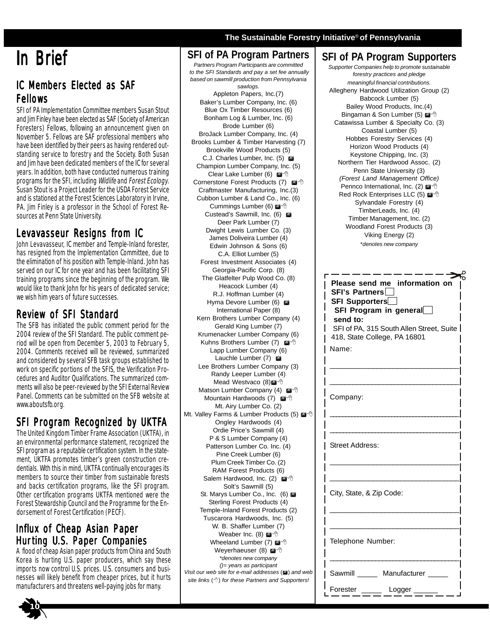# In Brief

**party.**

## IC Members Elected as SAF Fellows

SFI of PA Implementation Committee members Susan Stout and Jim Finley have been elected as SAF (Society of American Foresters) Fellows, following an announcement given on November 5. Fellows are SAF professional members who have been identified by their peers as having rendered outstanding service to forestry and the Society. Both Susan and Jim have been dedicated members of the IC for several years. In addition, both have conducted numerous training programs for the SFI, including Wildlife and Forest Ecology. Susan Stout is a Project Leader for the USDA Forest Service and is stationed at the Forest Sciences Laboratory in Irvine, PA. Jim Finley is a professor in the School of Forest Resources at Penn State University.

## Levavasseur Resigns from IC

John Levavasseur, IC member and Temple-Inland forester, has resigned from the Implementation Committee, due to the elimination of his position with Temple-Inland. John has served on our IC for one year and has been facilitating SFI training programs since the beginning of the program. We would like to thank John for his years of dedicated service; we wish him years of future successes.

## Review of SFI Standard

The SFB has initiated the public comment period for the 2004 review of the SFI Standard. The public comment period will be open from December 5, 2003 to February 5, 2004. Comments received will be reviewed, summarized and considered by several SFB task groups established to work on specific portions of the SFIS, the Verification Procedures and Auditor Qualifications. The summarized comments will also be peer-reviewed by the SFI External Review Panel. Comments can be submitted on the SFB website at www.aboutsfb.org.

## SFI Program Recognized by UKTFA

The United Kingdom Timber Frame Association (UKTFA), in an environmental performance statement, recognized the SFI program as a reputable certification system. In the statement, UKTFA promotes timber's green construction credentials. With this in mind, UKTFA continually encourages its members to source their timber from sustainable forests and backs certification programs, like the SFI program. Other certification programs UKTFA mentioned were the Forest Stewardship Council and the Programme for the Endorsement of Forest Certification (PECF).

## Influx of Cheap Asian Paper Hur ting U.S. Paper Companies

A flood of cheap Asian paper products from China and South Korea is hurting U.S. paper producers, which say these imports now control U.S. prices. U.S. consumers and businesses will likely benefit from cheaper prices, but it hurts manufacturers and threatens well-paying jobs for many.

## **SFI of PA Program Partners**

*Partners Program Participants are committed to the SFI Standards and pay a set fee annually based on sawmill production from Pennsylvania*

*sawlogs.* Appleton Papers, Inc.(7) Baker's Lumber Company, Inc. (6) Blue Ox Timber Resources (6) Bonham Log & Lumber, Inc. (6) Brode Lumber (6) BroJack Lumber Company, Inc. (4) Brooks Lumber & Timber Harvesting (7) Brookville Wood Products (5) C.J. Charles Lumber, Inc. (5) Champion Lumber Company, Inc. (5) Clear Lake Lumber (6) Cornerstone Forest Products (7) Craftmaster Manufacturing, Inc.(3) Cubbon Lumber & Land Co., Inc. (6) Cummings Lumber (6) @<sup>-</sup> Custead's Sawmill, Inc. (6) Deer Park Lumber (7) Dwight Lewis Lumber Co. (3) James Doliveira Lumber (4) Edwin Johnson & Sons (6) C.A. Elliot Lumber (5) Forest Investment Associates (4) Georgia-Pacific Corp. (8) The Glatfelter Pulp Wood Co. (8) Heacock Lumber (4) R.J. Hoffman Lumber (4) Hyma Devore Lumber (6) International Paper (8) Kern Brothers Lumber Company (4) Gerald King Lumber (7) Krumenacker Lumber Company (6) Kuhns Brothers Lumber (7)  $\mathbb{Z}^4$ Lapp Lumber Company (6) Lauchle Lumber (7) Lee Brothers Lumber Company (3) Randy Leeper Lumber (4) Mead Westvaco (8) Matson Lumber Company (4) Mountain Hardwoods (7) Mt. Airy Lumber Co. (2) Mt. Valley Farms & Lumber Products (5) Ongley Hardwoods (4) Ordie Price's Sawmill (4) P & S Lumber Company (4) Patterson Lumber Co. Inc. (4) Pine Creek Lumber (6) Plum Creek Timber Co. (2) RAM Forest Products (6) Salem Hardwood, Inc. (2) Solt's Sawmill (5) St. Marys Lumber Co., Inc. (6) Sterling Forest Products (4) Temple-Inland Forest Products (2) Tuscarora Hardwoods, Inc. (5) W. B. Shaffer Lumber (7) Weaber Inc. (8) @ <sup>+</sup> Wheeland Lumber (7) @ <sup>+</sup> Weverhaeuser (8) @<sup>4</sup> \**denotes new company ()= years as participant Visit our web site for e-mail addresses* () and web

#### *site links* () *for these Partners and Supporters!*

## **SFI of PA Program Supporters**

**The Sustainable Forestry Initiative**® **of Pennsylvania**

*Supporter Companies help to promote sustainable forestry practices and pledge meaningful financial contributions.* Allegheny Hardwood Utilization Group (2) Babcock Lumber (5) Bailey Wood Products, Inc.(4) Bingaman & Son Lumber (5) @ <sup>+</sup> Catawissa Lumber & Specialty Co. (3) Coastal Lumber (5) Hobbes Forestry Services (4) Horizon Wood Products (4) Keystone Chipping, Inc. (3) Northern Tier Hardwood Assoc. (2) Penn State University (3) *(Forest Land Management Office)* Pennco International, Inc. (2) Red Rock Enterprises LLC (5) Sylvandale Forestry (4) TimberLeads, Inc. (4) Timber Management, Inc. (2) Woodland Forest Products (3) Viking Energy (2) \**denotes new company*

- 0

| Please send me information on<br>SFI's Partnersl<br><b>SFI Supporters</b><br>SFI Program in general<br>send to:<br>SFI of PA, 315 South Allen Street, Suite<br>418, State College, PA 16801 |  |  |  |  |
|---------------------------------------------------------------------------------------------------------------------------------------------------------------------------------------------|--|--|--|--|
| Name:                                                                                                                                                                                       |  |  |  |  |
|                                                                                                                                                                                             |  |  |  |  |
| Company:                                                                                                                                                                                    |  |  |  |  |
| <b>Street Address:</b>                                                                                                                                                                      |  |  |  |  |
| City, State, & Zip Code:                                                                                                                                                                    |  |  |  |  |
| Telephone Number:                                                                                                                                                                           |  |  |  |  |
| Manufacturer<br>Sawmill                                                                                                                                                                     |  |  |  |  |
| Forester<br>Logger                                                                                                                                                                          |  |  |  |  |

![](_page_9_Picture_18.jpeg)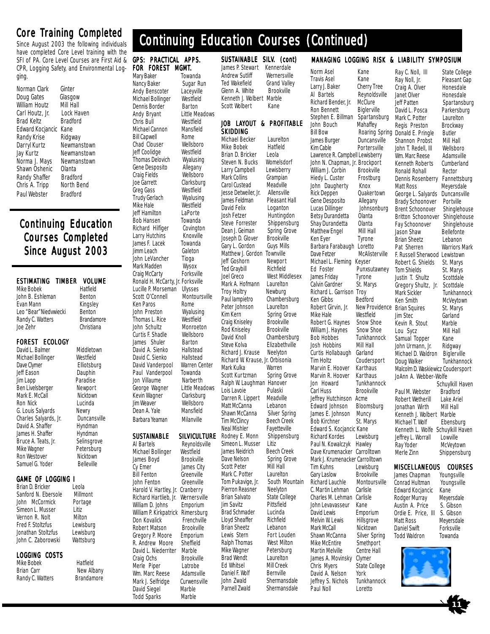## Core Training Completed

Since August 2003 the following individuals have completed Core Level training with the SFI of PA. Core Level Courses are First Aid & CPR, Logging Safety, and Environmental Logging.

Norman Clark Ginter<br>Doug Gates Glasgow Doug Gates Glasgow<br>William Houtz Mill Hall William Houtz Mill Hall<br>Carl Houtz Ir Lock Haven Carl Houtz, Jr. Lock Haven<br>Brad Keltz Bradford Brad Keltz Edward Kocjancic Kane<br>Randy Krise Ridgway Randy Krise Darryl Kurtz Newmanstown<br>Jay Kurtz Newmanstown Norma J. Mays Shawn Oshenic Olanta Randy Shaffer Bradford<br>Chris A. Tripp North Bend Chris A. Tripp Paul Webster Bradford

Newmanstown<br>Newmanstown

## Continuing Education Continuing Education Courses Completed Since August 2003

| ESTIMATING TIMBE      |  |  |  |  |
|-----------------------|--|--|--|--|
| Mike Bobek            |  |  |  |  |
| John B. Eshleman      |  |  |  |  |
| <b>Fyan Mann</b>      |  |  |  |  |
| Leo "Bear"Niedwiecki  |  |  |  |  |
| Randy C. Watters      |  |  |  |  |
| Joe Zehr              |  |  |  |  |
|                       |  |  |  |  |
| <b>FOREST ECOLOGY</b> |  |  |  |  |

David L. Balmer Middletown<br>Michael Bollinger Westfield Michael Bollinger Westfield<br>Dave Clymer Elliotsburg Dave Clymer Jeff Eason Dauphin Jim Lapp Paradise Ben Livelsberger Newport Mark E. McCall Ron Nick Lucinda<br>G. Louis Salvards Newry G. Louis Salyards Mewry<br>Charles Salyards, Jr. Duncansville Charles Salyards, Jr. David A. Shaffer Hyndman<br>James H. Shaffer Hyndman James H. Shaffer Bruce A. Teats, Jr. Selinsgrove Mike Wagner Petersburg<br>
Ron Westover Nicktown Ron Westover Samuel G. Yoder Belleville

## **GAME OF LOGGING I**<br>Brian D. Bricker Leola

Brian D. Bricker Sanford N. Ebersole Millmont John McCormick Portage<br>Simeon L. Musser Litiz Simeon L. Musser Vernon R. Nolt Milton<br>Fred F. Stoltzfus Lewisburg Fred F. Stoltzfus Lewisburg<br>Jonathan Stoltzfus Lewisburg Jonathan Stoltzfus John C. Zaborowski Wattsburg

#### LOGGING COSTS

Mike Bobek Hatfield<br>Brian Carr New Alb Randy C. Watters Brandamore

R VOLUME Hatfield **Benton** Kingsley **Renton Brandamore** Christiana

# New Albany

Michael Bollinger Westfield<br>Dennis Border Barton Dennis Border<br>Andy Bryant **Little Meadows** Chris Bull Westfield<br>Michael Cannon Mansfield Michael Cannon **Bill Capwell** Rome<br>Chad Clouser **Rellshoro** Chad Clouser Wellsboro<br>Jeff Coolidae Westfield Jeff Coolidge Westfield<br>Thomas Delovich Wyalusing Thomas Delovich Wyalusing<br>Gene Desposito Allegany Gene Desposito Allegany<br>Craig Fields Wellsboro Craig Fields Joe Garrett Clarksburg Greg Gass Westfield<br>Trudy Gerlach Wyalusing Trudy Gerlach Wyalusing<br>Mike Hale Westfield Mike Hale Jeff Hamilton LaPorte Bob Hansen Towanda<br>Richard Hilfiger Covington Richard Hilfiger Larry Hutchins Knoxville<br>James F. Lacek Towanda James F. Lacek Towanda<br>Jimm Leach Galeton

Jimm Leach

GPS: PRACTICAL APPS. FOR FOREST MGMT. Mary Baker Towanda<br>Nancy Baker Sugar R

Andy Benscoter

Sugar Run<br>Lacevville

John LeVancher Tioga Mark Madden Wysox<br>Craig McCarty Forksville Craig McCarty Ronald H. McCarty, Jr. Forksville<br>Lucille P. Morseman Ulysses Lucille P. Morseman<br>Scott O'Connell Montoursville Ken Paros Rome<br>John Preston Wyalusing **John Preston** Thomas L. Rice Westfield John Schultz Monroeton<br>Curtis E. Shadle Wellsboro Curtis F. Shadle Wellsboro<br>James Shuler Barton James Shuler David A. Sienko Hallstead<br>David C. Sienko Hallstead David C. Sienko David Vanderpool Warren Center Paul Vanderpool Towanda Jon Villaume Narberth George Wagner Little Meadows<br>Kevin Wagner Clarksburg Kevin Wagner Jim Weaver Wellsboro Dean A. Yale

## **SUSTAINABLE SILVICULTURE**<br>Al Bartels Revnoldsville

Barbara Yeaman Milanville

Reynoldsville Michael Bollinger Westfield<br>James Boyd Brookville James Boyd<br>Cy Emer James City Bill Fenton Greenville<br>John Fenton Greenville John Fenton Harold V. Hartley, Jr. Cranberry Richard Hartlieb, Jr. Wernersville<br>William D. Johns Emporium William D. Johns William P. Kirkpatrick Rimersburg<br>Don Kovalick Frenchville Don Kovalick Frenchville<br>Robert Matson Brookville Robert Matson Gregory P. Moore Emporium R. Andrew Moore Sheffield David L. Niederriter Marble **Brookville** Merle Piper Latrobe<br>Wm. Marc Reese Adamsville Wm. Marc Reese Mark J. Selfridge Curwensville<br>David Siegel Marble David Siegel Marble<br>Todd Sparks Marble **Todd Sparks** 

SUSTAINABLE SILV. (cont) James P. Stewart Kennerdale Andrew Sutliff Wernersville<br>Ted Wakefield Grand Valley Ted Wakefield Grand Valle<br>Glenn A. White Brookville

Continuing Education Courses (Continued)

The Sustainable Forestry Initiative® of

Glenn A. White

Scott Wolbert

#### JOB LAYOUT & PROFITABLE SKIDDING

Michael Becker Laurelton<br>Mike Bobek Hatfield Mike Bobek Brian D. Bricker Leola<br>Steven N. Bucks Womelsdorf Steven N. Bucks Womelsdor<br>Larry Campbell Lewisberry Larry Campbell Mark Collins Grampian<br>Carol Custead Meadville Carol Custead Meadville<br>Jesse Detweiler. Jr. Allensville Jesse Detweiler, Jr. James Feldman Pleasant Hall<br>David Felix Loganton David Felix Loganton<br>Josh Fetzer Huntingd Steve Forrester Shippensburg<br>Dean J. Geiman Spring Grove Dean J. Geiman Spring Grove<br>Joseph D. Glover Brookville Joseph D. Glover Brookville<br>Gary L. Gordon Guys Mills Gary L. Gordon Matthew J. Gordon Townville Jeff Goshorn Newport<br>Ted Graybill Richfield Ted Graybill<br>Joel Greco Mark A. Hofmann Troy Holtry Mewburg<br>Paul lampietro Chamber Peter Johnson Kim Kern Spring Grove<br>Craig Kniselev Brookville Craig Kniseley Brookville<br>Rod Kniseley Brookville Rod Kniseley David Knoll Chambersburg<br>Steve Kolva Elizabethville Richard J. Krause Richard W. Krause, Jr. Orbisonia Mark Kulka Warren<br>Scott Kurtzman Spring Grove Scott Kurtzman Ralph W. Laughman Hanover<br>Lois Lavoie Pulaski Lois Lavoie Pulaski<br>Darren R. Lippert Meadville Darren R. Lippert Matt McCanna Lebanon<br>Shawn McCanna Silver Spring Shawn McCanna<br>Tim McClincy Neal Mishler Fayetteville<br>Rodney E. Monn Shippensburg Rodney E. Monn Ship<br>Simeon L. Musser Litiz Simeon L. Musser James Neidrich Beech Creek<br>Dave Nelson Spring Grov Scott Peter Mark C. Potter Laurelton<br>Tom Pukavige, Jr. South Mo Pierron Reasner Neelyton<br>Brian Salvato State Coll Jim Savitz Pittsfield Brad Schmader Lucinda<br>Lloyd Sheaffer Richfield Lloyd Sheaffer Brian Sheetz Lebanon<br>Lewis Stern Fort Lou Ralph Thomas West Milton<br>Mike Wagner Petersburg Mike Wagner Petersbur<br>Brad Wendt Laurelton Brad Wendt Ed Whitsel Mill Creek<br>Daniel F. Wolf Bernville Daniel F. Wolf<br>John Zwald Parnell Zwald Shermansdale

Kenneth J. Wolbert Marble Huntingdon West Middlesex<br>Laurelton Chambersburg<br>Laurelton Elizabethville<br>Neelyton **Beech Creek** Spring Grove<br>Mill Hall South Mountain State College Fort Louden Shermansdale Ken Eyer Paul Noll

Travis Asel Kane<br>Larry J. Baker Cherry Tree Larry J. Baker Al Bartels Reynoldsville<br>Richard Bender Jr. McClure Richard Bender, Jr. McClure<br>Ron Bennett Bigler ville Ron Bennett Biglerville<br>Stephen E. Billman Spartansburg Stephen E. Billman John Bouch Mahaffey Bill Bow Roaring Spring<br>James Burger Duncansville James Burger<br>Kim Cable Portersville Lawrence R. Campbell Lewisberry John N. Chapman, Jr. Brockport William J. Corbin Brookville<br>Hiedy L. Custer Frostburg Hiedy L. Custer Frostl<br>John Daugherty Knox John Daugherty Knox<br>Rick Deppen Ouakertown Rick Deppen Gene Desposito Allegany Lucas Dillinger Johnsonburg<br>Betsv Durandetta Olanta Betsy Durandetta Olanta<br>Shav Durandetta Olanta **Shay Durandetta** Olanta<br>Matthew Engel Mill Hall Matthew Engel Mill Hall<br>
Ken Eyer Tyrone Barbara Farabaugh Loretto<br>Dave Fetzer McAlist **McAlister ville** Michael L. Fleming Keyser<br>Ed Eoster Punxsi Punxsutawney<br>Tyrone James Friday Tyrone<br>Calvin Gardner St. Marys Calvin Gardner Richard L. Garrison Troy<br>Ken Gibbs Bedford Ken Gibbs<br>Robert Girvin, Jr. Mike Hale Westfield<br>Robert G. Haynes Snow Shoe Robert G. Haynes Snow Shoe<br>William J. Havnes Snow Shoe William J. Haynes<br>Bob Hobbes Tunkhannock<br>Mill Hall Josh Hobbins Curtis Hollabaugh Garland<br>Tim Holtz Couders Coudersport<br>Karthaus Marvin E. Hoover Marvin R. Hoover Karthaus Jon Howard Tunkhannock<br>Carl Huss Brookville **Brookville** Jeffrey Hutchinson Acme<br>Edward Johnson Bloomsburg Edward Johnson Blooms<br>James E. Johnson Muncy James E. Johnson Bob Kirchner St. Marys Edward S. Kocjancic Kane Richard Kordes Lewisburg Paul N. Kowalczyk Hawley Dave Krumenacker Carrolltown Mark J. Krumenacker Carrolltown Tim Kuhns Lewisburg Gary Laslow Brookville<br>Richard Lauchle Montoursville **Richard Lauchle** C. Martin Lehman Carlisle Charles M. Lehman Carlisle<br>John Levavasseur Kane John Levavasseur David Lewis Emporium<br>Melvin W. Lewis Hillsgrove Melvin W. Lewis<br>Mark McCall **Nicktown** Shawn McCanna Silver Spring<br>Mike McEntire Smethport Mike McEntire Smethport<br>Martin Melville Centre Hall Martin Melville Centre<br>James A. Movinsky Clymer James A. Movinsky Chris Myers State College David A. Nelson York<br>Jeffrev S. Nichols Tunkhannock Jeffrey S. Nichols Tunkhan<br>Paul Noll Loretto

MANAGING LOGGING RISK & LIABILITY SYMPOSIUM

Norm Asel Kane

Robert Girvin, Jr. New Providence Brian Squires St. Marys Ray C. Noll, III State College<br>
Ray Noll, Jr. Pleasant Gap Pleasant Gap<br>Honesdale Craig A. Olver Honesdale<br>Janet Olver Honesdale Janet Olver<br>Jeff Patten Spartansburg<br>Parkersburg David L. Posca Parkersburg<br>Mark C. Potter Laurelton Mark C. Potter Regis Preston Brockway Donald E. Pringle Butler<br>Shannon Probst Mill Hall Shannon Probst Mill Hall<br>John T. Redell. III Wellsboro John T. Redell, III Wm. Marc Reese Adamsville<br>Kenneth Roberts Cumberland Kenneth Roberts Cumbe<br>Ronald Rohall Rector Ronald Rohall Dennis Rosenberry Fannettsburg<br>Matt Ross Meyersdale Meyersdale<br>Duncansville George L. Salyards Brady Schoonover Portville<br>Brent Schoonover Shinglehouse Brent Schoonover Shinglehouse<br>Britton Schoonover Shinglehouse Britton Schoonover Shinglehouse<br>Fav Schoonover Shinglehouse Fay Schoonover Shingleho<br>Jason Shaw Bellefonte Jason Shaw Bellefonte<br>Brian Sheetz Lebanon **Brian Sheetz** Pat Sherren Warriors Mark F. Russell Sherwood Lewistown<br>Robert G. Shields St. Marys Robert G. Shields St. Marys<br>Tom Shields St. Marys **Tom Shields** St. Marys<br>Lustin T. Shultz Scottdale Justin T. Shultz Scottdale<br>Gregory Shultz, Jr. Scottdale Gregory Shultz, Jr. Mark Sickler Tunkhannock<br>Ken Smith McVeytown McVeytown<br>St. Marys **Jim Stec 6arland**<br> **Kevin R. Stout Marble** Kevin R. Stout Marble Lou Sycz Samual Topper Kane John Urmann, Jr. Ridgway<br>Michael D. Waldron Biglerville Michael D. Waldron<br>Doug Walker Tunkhannock Malcolm D. Waskiewicz Coudersport JoAnn A. Webber-Wolfe Schuylkill Haven<br>Bradford Paul M. Webster Bradford<br>Robert Wetherill Lake Ariel Robert Wetherill Lake Ariel<br>Ionathan Wirth Mill Hall Jonathan Wirth Mill Ha<br>Kenneth I Wolbert Marble Kenneth J. Wolbert Marble<br>Michael T. Wolf Ebensburg Michael T. Wolf Kenneth L. Wolfe Schuylkill Haven<br>Jeffrey L. Worrall Lowville Jeffrey L. Worrall Ray Yoder McVeytown<br>Merle Zinn Shippensbu

## **MISCELLANEOUS COURSES**<br>James Chapman Youngsville

Shippensburg

James Chapman Youngsville<br>Conrad Hultman Youngsville Conrad Hultman Edward Kocjancic Kane<br>Rodger Murray Meyersdale Rodger Murray Meyersdale<br>Austin A. Price S. Gibson Austin A. Price Ordie E. Price, III S. Gibson<br>Matt Ross Meversdal Daniel Swift Forksville<br>Todd Waldron Towanda Todd Waldron

Meyersdale<br>Forksville

**11**

![](_page_10_Picture_30.jpeg)